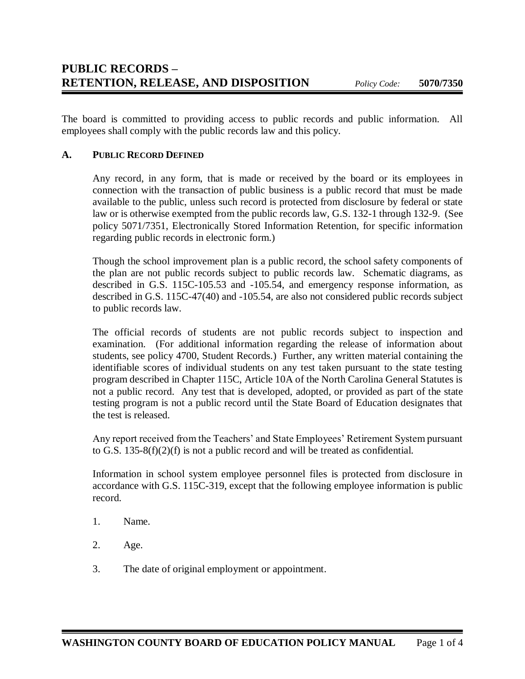The board is committed to providing access to public records and public information. All employees shall comply with the public records law and this policy.

### **A. PUBLIC RECORD DEFINED**

Any record, in any form, that is made or received by the board or its employees in connection with the transaction of public business is a public record that must be made available to the public, unless such record is protected from disclosure by federal or state law or is otherwise exempted from the public records law, G.S. 132-1 through 132-9. (See policy 5071/7351, Electronically Stored Information Retention, for specific information regarding public records in electronic form.)

Though the school improvement plan is a public record, the school safety components of the plan are not public records subject to public records law. Schematic diagrams, as described in G.S. 115C-105.53 and -105.54, and emergency response information, as described in G.S. 115C-47(40) and -105.54, are also not considered public records subject to public records law.

The official records of students are not public records subject to inspection and examination. (For additional information regarding the release of information about students, see policy 4700, Student Records.) Further, any written material containing the identifiable scores of individual students on any test taken pursuant to the state testing program described in Chapter 115C, Article 10A of the North Carolina General Statutes is not a public record. Any test that is developed, adopted, or provided as part of the state testing program is not a public record until the State Board of Education designates that the test is released.

Any report received from the Teachers' and State Employees' Retirement System pursuant to G.S. 135-8(f)(2)(f) is not a public record and will be treated as confidential.

Information in school system employee personnel files is protected from disclosure in accordance with G.S. 115C-319, except that the following employee information is public record.

- 1. Name.
- 2. Age.
- 3. The date of original employment or appointment.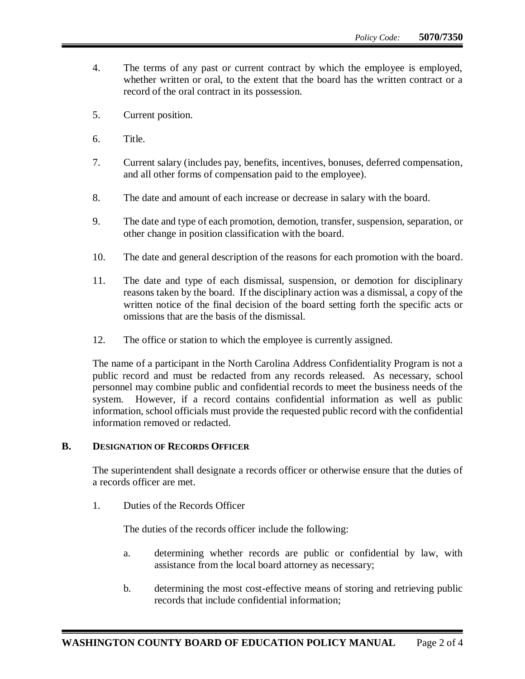- 4. The terms of any past or current contract by which the employee is employed, whether written or oral, to the extent that the board has the written contract or a record of the oral contract in its possession.
- 5. Current position.
- 6. Title.
- 7. Current salary (includes pay, benefits, incentives, bonuses, deferred compensation, and all other forms of compensation paid to the employee).
- 8. The date and amount of each increase or decrease in salary with the board.
- 9. The date and type of each promotion, demotion, transfer, suspension, separation, or other change in position classification with the board.
- 10. The date and general description of the reasons for each promotion with the board.
- 11. The date and type of each dismissal, suspension, or demotion for disciplinary reasons taken by the board. If the disciplinary action was a dismissal, a copy of the written notice of the final decision of the board setting forth the specific acts or omissions that are the basis of the dismissal.
- 12. The office or station to which the employee is currently assigned.

The name of a participant in the North Carolina Address Confidentiality Program is not a public record and must be redacted from any records released. As necessary, school personnel may combine public and confidential records to meet the business needs of the system. However, if a record contains confidential information as well as public information, school officials must provide the requested public record with the confidential information removed or redacted.

#### **B. DESIGNATION OF RECORDS OFFICER**

The superintendent shall designate a records officer or otherwise ensure that the duties of a records officer are met.

1. Duties of the Records Officer

The duties of the records officer include the following:

- a. determining whether records are public or confidential by law, with assistance from the local board attorney as necessary;
- b. determining the most cost-effective means of storing and retrieving public records that include confidential information;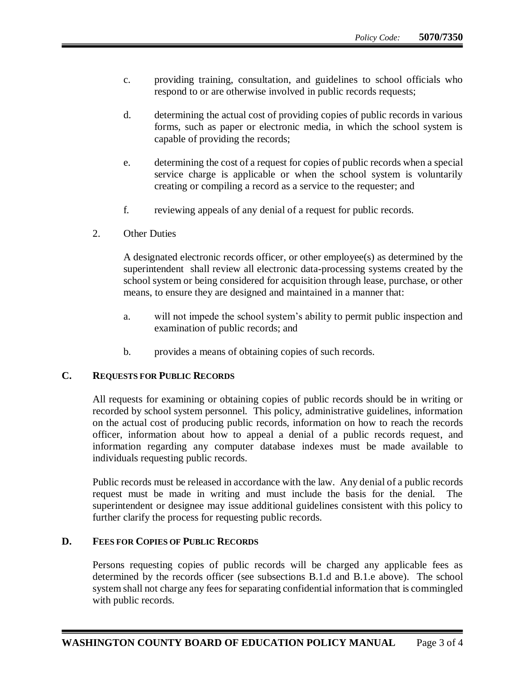- c. providing training, consultation, and guidelines to school officials who respond to or are otherwise involved in public records requests;
- d. determining the actual cost of providing copies of public records in various forms, such as paper or electronic media, in which the school system is capable of providing the records;
- e. determining the cost of a request for copies of public records when a special service charge is applicable or when the school system is voluntarily creating or compiling a record as a service to the requester; and
- f. reviewing appeals of any denial of a request for public records.
- 2. Other Duties

A designated electronic records officer, or other employee(s) as determined by the superintendent shall review all electronic data-processing systems created by the school system or being considered for acquisition through lease, purchase, or other means, to ensure they are designed and maintained in a manner that:

- a. will not impede the school system's ability to permit public inspection and examination of public records; and
- b. provides a means of obtaining copies of such records.

### **C. REQUESTS FOR PUBLIC RECORDS**

All requests for examining or obtaining copies of public records should be in writing or recorded by school system personnel. This policy, administrative guidelines, information on the actual cost of producing public records, information on how to reach the records officer, information about how to appeal a denial of a public records request, and information regarding any computer database indexes must be made available to individuals requesting public records.

Public records must be released in accordance with the law. Any denial of a public records request must be made in writing and must include the basis for the denial. The superintendent or designee may issue additional guidelines consistent with this policy to further clarify the process for requesting public records.

### **D. FEES FOR COPIES OF PUBLIC RECORDS**

Persons requesting copies of public records will be charged any applicable fees as determined by the records officer (see subsections B.1.d and B.1.e above). The school system shall not charge any fees for separating confidential information that is commingled with public records.